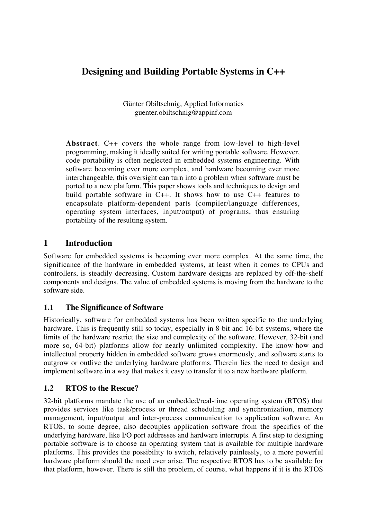# **Designing and Building Portable Systems in C++**

Günter Obiltschnig, Applied Informatics guenter.obiltschnig@appinf.com

**Abstract**. C++ covers the whole range from low-level to high-level programming, making it ideally suited for writing portable software. However, code portability is often neglected in embedded systems engineering. With software becoming ever more complex, and hardware becoming ever more interchangeable, this oversight can turn into a problem when software must be ported to a new platform. This paper shows tools and techniques to design and build portable software in C++. It shows how to use C++ features to encapsulate platform-dependent parts (compiler/language differences, operating system interfaces, input/output) of programs, thus ensuring portability of the resulting system.

### **1 Introduction**

Software for embedded systems is becoming ever more complex. At the same time, the significance of the hardware in embedded systems, at least when it comes to CPUs and controllers, is steadily decreasing. Custom hardware designs are replaced by off-the-shelf components and designs. The value of embedded systems is moving from the hardware to the software side.

### **1.1 The Significance of Software**

Historically, software for embedded systems has been written specific to the underlying hardware. This is frequently still so today, especially in 8-bit and 16-bit systems, where the limits of the hardware restrict the size and complexity of the software. However, 32-bit (and more so, 64-bit) platforms allow for nearly unlimited complexity. The know-how and intellectual property hidden in embedded software grows enormously, and software starts to outgrow or outlive the underlying hardware platforms. Therein lies the need to design and implement software in a way that makes it easy to transfer it to a new hardware platform.

#### **1.2 RTOS to the Rescue?**

32-bit platforms mandate the use of an embedded/real-time operating system (RTOS) that provides services like task/process or thread scheduling and synchronization, memory management, input/output and inter-process communication to application software. An RTOS, to some degree, also decouples application software from the specifics of the underlying hardware, like I/O port addresses and hardware interrupts. A first step to designing portable software is to choose an operating system that is available for multiple hardware platforms. This provides the possibility to switch, relatively painlessly, to a more powerful hardware platform should the need ever arise. The respective RTOS has to be available for that platform, however. There is still the problem, of course, what happens if it is the RTOS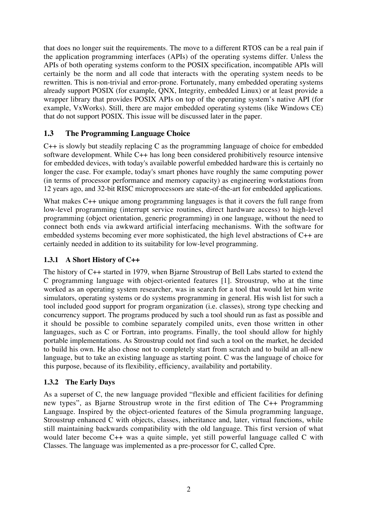that does no longer suit the requirements. The move to a different RTOS can be a real pain if the application programming interfaces (APIs) of the operating systems differ. Unless the APIs of both operating systems conform to the POSIX specification, incompatible APIs will certainly be the norm and all code that interacts with the operating system needs to be rewritten. This is non-trivial and error-prone. Fortunately, many embedded operating systems already support POSIX (for example, QNX, Integrity, embedded Linux) or at least provide a wrapper library that provides POSIX APIs on top of the operating system's native API (for example, VxWorks). Still, there are major embedded operating systems (like Windows CE) that do not support POSIX. This issue will be discussed later in the paper.

### **1.3 The Programming Language Choice**

C++ is slowly but steadily replacing C as the programming language of choice for embedded software development. While C++ has long been considered prohibitively resource intensive for embedded devices, with today's available powerful embedded hardware this is certainly no longer the case. For example, today's smart phones have roughly the same computing power (in terms of processor performance and memory capacity) as engineering workstations from 12 years ago, and 32-bit RISC microprocessors are state-of-the-art for embedded applications.

What makes C++ unique among programming languages is that it covers the full range from low-level programming (interrupt service routines, direct hardware access) to high-level programming (object orientation, generic programming) in one language, without the need to connect both ends via awkward artificial interfacing mechanisms. With the software for embedded systems becoming ever more sophisticated, the high level abstractions of C++ are certainly needed in addition to its suitability for low-level programming.

#### **1.3.1 A Short History of C++**

The history of C++ started in 1979, when Bjarne Stroustrup of Bell Labs started to extend the C programming language with object-oriented features [1]. Stroustrup, who at the time worked as an operating system researcher, was in search for a tool that would let him write simulators, operating systems or do systems programming in general. His wish list for such a tool included good support for program organization (i.e. classes), strong type checking and concurrency support. The programs produced by such a tool should run as fast as possible and it should be possible to combine separately compiled units, even those written in other languages, such as C or Fortran, into programs. Finally, the tool should allow for highly portable implementations. As Stroustrup could not find such a tool on the market, he decided to build his own. He also chose not to completely start from scratch and to build an all-new language, but to take an existing language as starting point. C was the language of choice for this purpose, because of its flexibility, efficiency, availability and portability.

#### **1.3.2 The Early Days**

As a superset of C, the new language provided "flexible and efficient facilities for defining new types", as Bjarne Stroustrup wrote in the first edition of The C++ Programming Language. Inspired by the object-oriented features of the Simula programming language, Stroustrup enhanced C with objects, classes, inheritance and, later, virtual functions, while still maintaining backwards compatibility with the old language. This first version of what would later become C++ was a quite simple, yet still powerful language called C with Classes. The language was implemented as a pre-processor for C, called Cpre.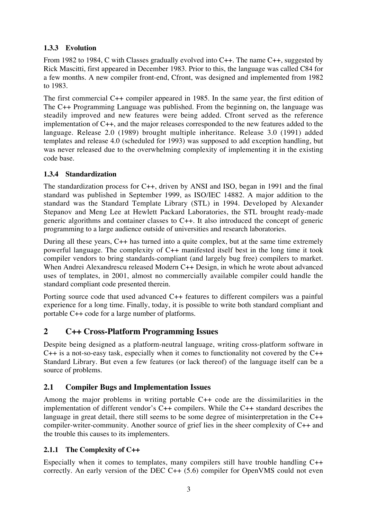### **1.3.3 Evolution**

From 1982 to 1984, C with Classes gradually evolved into C++. The name C++, suggested by Rick Mascitti, first appeared in December 1983. Prior to this, the language was called C84 for a few months. A new compiler front-end, Cfront, was designed and implemented from 1982 to 1983.

The first commercial C++ compiler appeared in 1985. In the same year, the first edition of The C++ Programming Language was published. From the beginning on, the language was steadily improved and new features were being added. Cfront served as the reference implementation of C++, and the major releases corresponded to the new features added to the language. Release 2.0 (1989) brought multiple inheritance. Release 3.0 (1991) added templates and release 4.0 (scheduled for 1993) was supposed to add exception handling, but was never released due to the overwhelming complexity of implementing it in the existing code base.

#### **1.3.4 Standardization**

The standardization process for C++, driven by ANSI and ISO, began in 1991 and the final standard was published in September 1999, as ISO/IEC 14882. A major addition to the standard was the Standard Template Library (STL) in 1994. Developed by Alexander Stepanov and Meng Lee at Hewlett Packard Laboratories, the STL brought ready-made generic algorithms and container classes to C++. It also introduced the concept of generic programming to a large audience outside of universities and research laboratories.

During all these years, C++ has turned into a quite complex, but at the same time extremely powerful language. The complexity of C++ manifested itself best in the long time it took compiler vendors to bring standards-compliant (and largely bug free) compilers to market. When Andrei Alexandrescu released Modern C++ Design, in which he wrote about advanced uses of templates, in 2001, almost no commercially available compiler could handle the standard compliant code presented therein.

Porting source code that used advanced C++ features to different compilers was a painful experience for a long time. Finally, today, it is possible to write both standard compliant and portable C++ code for a large number of platforms.

## **2 C++ Cross-Platform Programming Issues**

Despite being designed as a platform-neutral language, writing cross-platform software in C++ is a not-so-easy task, especially when it comes to functionality not covered by the C++ Standard Library. But even a few features (or lack thereof) of the language itself can be a source of problems.

## **2.1 Compiler Bugs and Implementation Issues**

Among the major problems in writing portable C++ code are the dissimilarities in the implementation of different vendor's C++ compilers. While the C++ standard describes the language in great detail, there still seems to be some degree of misinterpretation in the C++ compiler-writer-community. Another source of grief lies in the sheer complexity of C++ and the trouble this causes to its implementers.

### **2.1.1 The Complexity of C++**

Especially when it comes to templates, many compilers still have trouble handling C++ correctly. An early version of the DEC C++ (5.6) compiler for OpenVMS could not even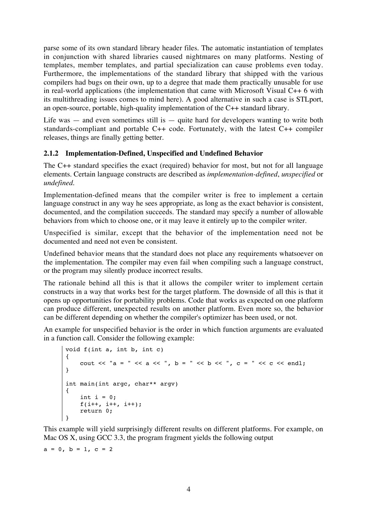parse some of its own standard library header files. The automatic instantiation of templates in conjunction with shared libraries caused nightmares on many platforms. Nesting of templates, member templates, and partial specialization can cause problems even today. Furthermore, the implementations of the standard library that shipped with the various compilers had bugs on their own, up to a degree that made them practically unusable for use in real-world applications (the implementation that came with Microsoft Visual C++ 6 with its multithreading issues comes to mind here). A good alternative in such a case is STLport, an open-source, portable, high-quality implementation of the C++ standard library.

Life was  $-$  and even sometimes still is  $-$  quite hard for developers wanting to write both standards-compliant and portable C++ code. Fortunately, with the latest C++ compiler releases, things are finally getting better.

#### **2.1.2 Implementation-Defined, Unspecified and Undefined Behavior**

The C++ standard specifies the exact (required) behavior for most, but not for all language elements. Certain language constructs are described as *implementation-defined*, *unspecified* or *undefined*.

Implementation-defined means that the compiler writer is free to implement a certain language construct in any way he sees appropriate, as long as the exact behavior is consistent, documented, and the compilation succeeds. The standard may specify a number of allowable behaviors from which to choose one, or it may leave it entirely up to the compiler writer.

Unspecified is similar, except that the behavior of the implementation need not be documented and need not even be consistent.

Undefined behavior means that the standard does not place any requirements whatsoever on the implementation. The compiler may even fail when compiling such a language construct, or the program may silently produce incorrect results.

The rationale behind all this is that it allows the compiler writer to implement certain constructs in a way that works best for the target platform. The downside of all this is that it opens up opportunities for portability problems. Code that works as expected on one platform can produce different, unexpected results on another platform. Even more so, the behavior can be different depending on whether the compiler's optimizer has been used, or not.

An example for unspecified behavior is the order in which function arguments are evaluated in a function call. Consider the following example:

```
void f(int a, int b, int c)
{
    cout << "a = " << a << ", b = " << b << ", c = " << c << endl;
}
int main(int argc, char** argv)
{
    int i = 0:
     f(i++, i++, i++);
     return 0;
}
```
This example will yield surprisingly different results on different platforms. For example, on Mac OS X, using GCC 3.3, the program fragment yields the following output

 $a = 0, b = 1, c = 2$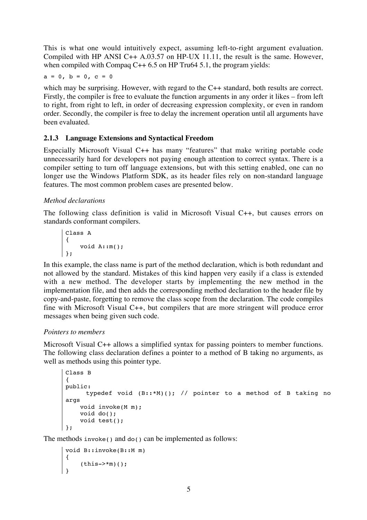This is what one would intuitively expect, assuming left-to-right argument evaluation. Compiled with HP ANSI C++ A.03.57 on HP-UX 11.11, the result is the same. However, when compiled with Compaq  $C++ 6.5$  on HP Tru64 5.1, the program yields:

 $a = 0, b = 0, c = 0$ 

which may be surprising. However, with regard to the C++ standard, both results are correct. Firstly, the compiler is free to evaluate the function arguments in any order it likes – from left to right, from right to left, in order of decreasing expression complexity, or even in random order. Secondly, the compiler is free to delay the increment operation until all arguments have been evaluated.

#### **2.1.3 Language Extensions and Syntactical Freedom**

Especially Microsoft Visual C++ has many "features" that make writing portable code unnecessarily hard for developers not paying enough attention to correct syntax. There is a compiler setting to turn off language extensions, but with this setting enabled, one can no longer use the Windows Platform SDK, as its header files rely on non-standard language features. The most common problem cases are presented below.

#### *Method declarations*

The following class definition is valid in Microsoft Visual C++, but causes errors on standards conformant compilers.

Class A { void A::m(); };

In this example, the class name is part of the method declaration, which is both redundant and not allowed by the standard. Mistakes of this kind happen very easily if a class is extended with a new method. The developer starts by implementing the new method in the implementation file, and then adds the corresponding method declaration to the header file by copy-and-paste, forgetting to remove the class scope from the declaration. The code compiles fine with Microsoft Visual C++, but compilers that are more stringent will produce error messages when being given such code.

#### *Pointers to members*

Microsoft Visual C++ allows a simplified syntax for passing pointers to member functions. The following class declaration defines a pointer to a method of B taking no arguments, as well as methods using this pointer type.

```
Class B
{
public:
       typedef void (B::*M)(); // pointer to a method of B taking no
args
     void invoke(M m);
     void do();
     void test();
};
```
The methods invoke() and do() can be implemented as follows:

```
void B::invoke(B::M m)
{
    (this->*m)();
}
```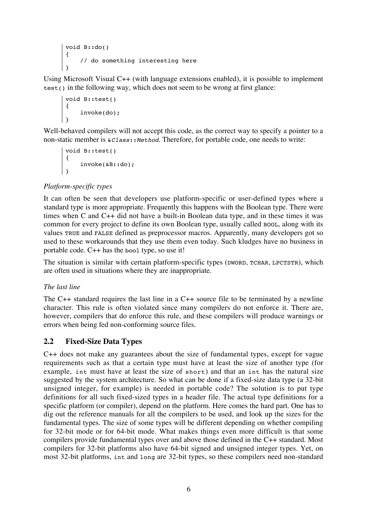```
void B::do()
{
     // do something interesting here
}
```
Using Microsoft Visual C++ (with language extensions enabled), it is possible to implement test() in the following way, which does not seem to be wrong at first glance:

```
void B::test()
{
     invoke(do);
}
```
Well-behaved compilers will not accept this code, as the correct way to specify a pointer to a non-static member is  $\&\text{class:}$ : Method. Therefore, for portable code, one needs to write:

```
void B::test()
{
     invoke(&B::do);
}
```
#### *Platform-specific types*

It can often be seen that developers use platform-specific or user-defined types where a standard type is more appropriate. Frequently this happens with the Boolean type. There were times when C and C++ did not have a built-in Boolean data type, and in these times it was common for every project to define its own Boolean type, usually called BOOL, along with its values TRUE and FALSE defined as preprocessor macros. Apparently, many developers got so used to these workarounds that they use them even today. Such kludges have no business in portable code. C++ has the bool type, so use it!

The situation is similar with certain platform-specific types (DWORD, TCHAR, LPCTSTR), which are often used in situations where they are inappropriate.

#### *The last line*

The C++ standard requires the last line in a C++ source file to be terminated by a newline character. This rule is often violated since many compilers do not enforce it. There are, however, compilers that do enforce this rule, and these compilers will produce warnings or errors when being fed non-conforming source files.

#### **2.2 Fixed-Size Data Types**

C++ does not make any guarantees about the size of fundamental types, except for vague requirements such as that a certain type must have at least the size of another type (for example, int must have at least the size of short) and that an int has the natural size suggested by the system architecture. So what can be done if a fixed-size data type (a 32-bit unsigned integer, for example) is needed in portable code? The solution is to put type definitions for all such fixed-sized types in a header file. The actual type definitions for a specific platform (or compiler), depend on the platform. Here comes the hard part. One has to dig out the reference manuals for all the compilers to be used, and look up the sizes for the fundamental types. The size of some types will be different depending on whether compiling for 32-bit mode or for 64-bit mode. What makes things even more difficult is that some compilers provide fundamental types over and above those defined in the C++ standard. Most compilers for 32-bit platforms also have 64-bit signed and unsigned integer types. Yet, on most 32-bit platforms, int and long are 32-bit types, so these compilers need non-standard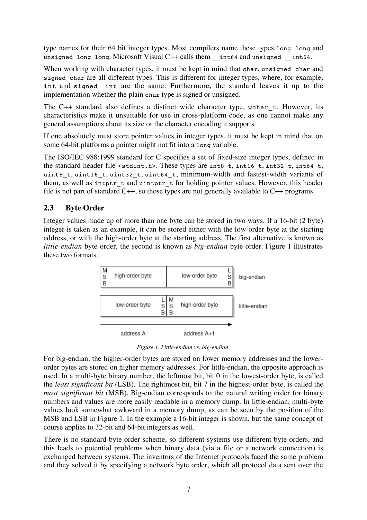type names for their 64 bit integer types. Most compilers name these types long long and unsigned long long. Microsoft Visual C++ calls them \_\_int64 and unsigned \_\_int64.

When working with character types, it must be kept in mind that char, unsigned char and signed char are all different types. This is different for integer types, where, for example, int and signed int are the same. Furthermore, the standard leaves it up to the implementation whether the plain char type is signed or unsigned.

The C++ standard also defines a distinct wide character type, wchar t. However, its characteristics make it unsuitable for use in cross-platform code, as one cannot make any general assumptions about its size or the character encoding it supports.

If one absolutely must store pointer values in integer types, it must be kept in mind that on some 64-bit platforms a pointer might not fit into a long variable.

The ISO/IEC 988:1999 standard for C specifies a set of fixed-size integer types, defined in the standard header file <stdint.h>. These types are int8 t, int16 t, int32 t, int64 t, uint8 t, uint16 t, uint32 t, uint64 t, minimum-width and fastest-width variants of them, as well as intptr  $t$  and uintptr  $t$  for holding pointer values. However, this header file is not part of standard C++, so those types are not generally available to C++ programs.

### **2.3 Byte Order**

Integer values made up of more than one byte can be stored in two ways. If a 16-bit (2 byte) integer is taken as an example, it can be stored either with the low-order byte at the starting address, or with the high-order byte at the starting address. The first alternative is known as *little-endian* byte order, the second is known as *big-endian* byte order. Figure 1 illustrates these two formats.



*Figure 1. Little-endian vs. big-endian.*

For big-endian, the higher-order bytes are stored on lower memory addresses and the lowerorder bytes are stored on higher memory addresses. For little-endian, the opposite approach is used. In a multi-byte binary number, the leftmost bit, bit 0 in the lowest-order byte, is called the *least significant bit* (LSB). The rightmost bit, bit 7 in the highest-order byte, is called the *most significant bit* (MSB). Big-endian corresponds to the natural writing order for binary numbers and values are more easily readable in a memory dump. In little-endian, multi-byte values look somewhat awkward in a memory dump, as can be seen by the position of the MSB and LSB in Figure 1. In the example a 16-bit integer is shown, but the same concept of course applies to 32-bit and 64-bit integers as well.

There is no standard byte order scheme, so different systems use different byte orders, and this leads to potential problems when binary data (via a file or a network connection) is exchanged between systems. The inventors of the Internet protocols faced the same problem and they solved it by specifying a network byte order, which all protocol data sent over the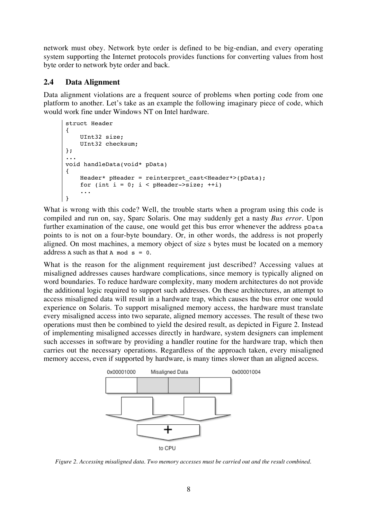network must obey. Network byte order is defined to be big-endian, and every operating system supporting the Internet protocols provides functions for converting values from host byte order to network byte order and back.

#### **2.4 Data Alignment**

Data alignment violations are a frequent source of problems when porting code from one platform to another. Let's take as an example the following imaginary piece of code, which would work fine under Windows NT on Intel hardware.

```
struct Header
{
     UInt32 size;
     UInt32 checksum;
};
...
void handleData(void* pData)
{
     Header* pHeader = reinterpret_cast<Header*>(pData);
    for (int i = 0; i < pHeader->size; ++i)
 ...
}
```
What is wrong with this code? Well, the trouble starts when a program using this code is compiled and run on, say, Sparc Solaris. One may suddenly get a nasty *Bus error*. Upon further examination of the cause, one would get this bus error whenever the address ppata points to is not on a four-byte boundary. Or, in other words, the address is not properly aligned. On most machines, a memory object of size s bytes must be located on a memory address A such as that A mod  $s = 0$ .

What is the reason for the alignment requirement just described? Accessing values at misaligned addresses causes hardware complications, since memory is typically aligned on word boundaries. To reduce hardware complexity, many modern architectures do not provide the additional logic required to support such addresses. On these architectures, an attempt to access misaligned data will result in a hardware trap, which causes the bus error one would experience on Solaris. To support misaligned memory access, the hardware must translate every misaligned access into two separate, aligned memory accesses. The result of these two operations must then be combined to yield the desired result, as depicted in Figure 2. Instead of implementing misaligned accesses directly in hardware, system designers can implement such accesses in software by providing a handler routine for the hardware trap, which then carries out the necessary operations. Regardless of the approach taken, every misaligned memory access, even if supported by hardware, is many times slower than an aligned access.



*Figure 2. Accessing misaligned data. Two memory accesses must be carried out and the result combined.*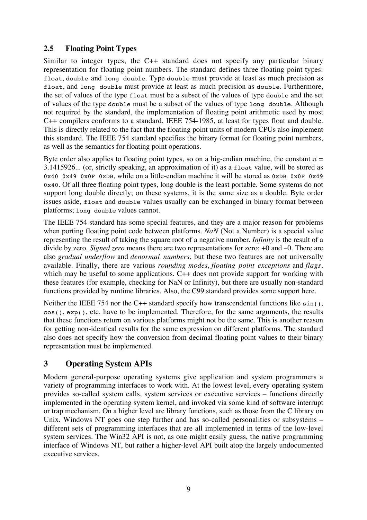### **2.5 Floating Point Types**

Similar to integer types, the C++ standard does not specify any particular binary representation for floating point numbers. The standard defines three floating point types: float, double and long double. Type double must provide at least as much precision as float, and long double must provide at least as much precision as double. Furthermore, the set of values of the type float must be a subset of the values of type double and the set of values of the type double must be a subset of the values of type long double. Although not required by the standard, the implementation of floating point arithmetic used by most C++ compilers conforms to a standard, IEEE 754-1985, at least for types float and double. This is directly related to the fact that the floating point units of modern CPUs also implement this standard. The IEEE 754 standard specifies the binary format for floating point numbers, as well as the semantics for floating point operations.

Byte order also applies to floating point types, so on a big-endian machine, the constant  $\pi$  = 3.1415926... (or, strictly speaking, an approximation of it) as a float value, will be stored as 0x40 0x49 0x0F 0xDB, while on a little-endian machine it will be stored as 0xDB 0x0F 0x49 0x40. Of all three floating point types, long double is the least portable. Some systems do not support long double directly; on these systems, it is the same size as a double. Byte order issues aside, float and double values usually can be exchanged in binary format between platforms; long double values cannot.

The IEEE 754 standard has some special features, and they are a major reason for problems when porting floating point code between platforms. *NaN* (Not a Number) is a special value representing the result of taking the square root of a negative number. *Infinity* is the result of a divide by zero. *Signed zero* means there are two representations for zero: +0 and –0. There are also *gradual underflow* and *denormal numbers*, but these two features are not universally available. Finally, there are various *rounding modes*, *floating point exceptions* and *flags*, which may be useful to some applications. C++ does not provide support for working with these features (for example, checking for NaN or Infinity), but there are usually non-standard functions provided by runtime libraries. Also, the C99 standard provides some support here.

Neither the IEEE 754 nor the C++ standard specify how transcendental functions like sin(), cos(), exp(), etc. have to be implemented. Therefore, for the same arguments, the results that these functions return on various platforms might not be the same. This is another reason for getting non-identical results for the same expression on different platforms. The standard also does not specify how the conversion from decimal floating point values to their binary representation must be implemented.

## **3 Operating System APIs**

Modern general-purpose operating systems give application and system programmers a variety of programming interfaces to work with. At the lowest level, every operating system provides so-called system calls, system services or executive services – functions directly implemented in the operating system kernel, and invoked via some kind of software interrupt or trap mechanism. On a higher level are library functions, such as those from the C library on Unix. Windows NT goes one step further and has so-called personalities or subsystems – different sets of programming interfaces that are all implemented in terms of the low-level system services. The Win32 API is not, as one might easily guess, the native programming interface of Windows NT, but rather a higher-level API built atop the largely undocumented executive services.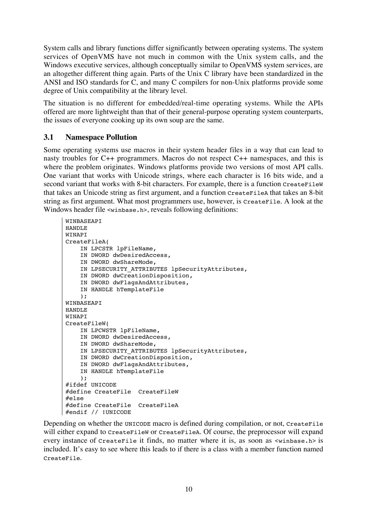System calls and library functions differ significantly between operating systems. The system services of OpenVMS have not much in common with the Unix system calls, and the Windows executive services, although conceptually similar to OpenVMS system services, are an altogether different thing again. Parts of the Unix C library have been standardized in the ANSI and ISO standards for C, and many C compilers for non-Unix platforms provide some degree of Unix compatibility at the library level.

The situation is no different for embedded/real-time operating systems. While the APIs offered are more lightweight than that of their general-purpose operating system counterparts, the issues of everyone cooking up its own soup are the same.

#### **3.1 Namespace Pollution**

Some operating systems use macros in their system header files in a way that can lead to nasty troubles for C++ programmers. Macros do not respect C++ namespaces, and this is where the problem originates. Windows platforms provide two versions of most API calls. One variant that works with Unicode strings, where each character is 16 bits wide, and a second variant that works with 8-bit characters. For example, there is a function CreateFileW that takes an Unicode string as first argument, and a function CreateFileA that takes an 8-bit string as first argument. What most programmers use, however, is CreateFile. A look at the Windows header file <winbase.h>, reveals following definitions:

```
WINBASEAPI
HANDLE
WINAPT
CreateFileA(
     IN LPCSTR lpFileName,
     IN DWORD dwDesiredAccess,
     IN DWORD dwShareMode,
    IN LPSECURITY ATTRIBUTES lpSecurityAttributes,
     IN DWORD dwCreationDisposition,
     IN DWORD dwFlagsAndAttributes,
     IN HANDLE hTemplateFile
     );
WINBASEAPT
HANDLE
WINAPI
CreateFileW(
     IN LPCWSTR lpFileName,
     IN DWORD dwDesiredAccess,
     IN DWORD dwShareMode,
    IN LPSECURITY ATTRIBUTES lpSecurityAttributes,
     IN DWORD dwCreationDisposition,
     IN DWORD dwFlagsAndAttributes,
     IN HANDLE hTemplateFile
     );
#ifdef UNICODE
#define CreateFile CreateFileW
#else
#define CreateFile CreateFileA
#endif // !UNICODE
```
Depending on whether the UNICODE macro is defined during compilation, or not, CreateFile will either expand to CreateFileW or CreateFileA. Of course, the preprocessor will expand every instance of CreateFile it finds, no matter where it is, as soon as <winbase.h> is included. It's easy to see where this leads to if there is a class with a member function named CreateFile.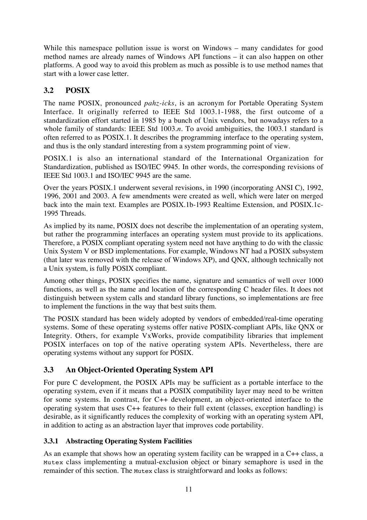While this namespace pollution issue is worst on Windows – many candidates for good method names are already names of Windows API functions – it can also happen on other platforms. A good way to avoid this problem as much as possible is to use method names that start with a lower case letter.

## **3.2 POSIX**

The name POSIX, pronounced *pahz-icks*, is an acronym for Portable Operating System Interface. It originally referred to IEEE Std 1003.1-1988, the first outcome of a standardization effort started in 1985 by a bunch of Unix vendors, but nowadays refers to a whole family of standards: IEEE Std 1003.*n*. To avoid ambiguities, the 1003.1 standard is often referred to as POSIX.1. It describes the programming interface to the operating system, and thus is the only standard interesting from a system programming point of view.

POSIX.1 is also an international standard of the International Organization for Standardization, published as ISO/IEC 9945. In other words, the corresponding revisions of IEEE Std 1003.1 and ISO/IEC 9945 are the same.

Over the years POSIX.1 underwent several revisions, in 1990 (incorporating ANSI C), 1992, 1996, 2001 and 2003. A few amendments were created as well, which were later on merged back into the main text. Examples are POSIX.1b-1993 Realtime Extension, and POSIX.1c-1995 Threads.

As implied by its name, POSIX does not describe the implementation of an operating system, but rather the programming interfaces an operating system must provide to its applications. Therefore, a POSIX compliant operating system need not have anything to do with the classic Unix System V or BSD implementations. For example, Windows NT had a POSIX subsystem (that later was removed with the release of Windows XP), and QNX, although technically not a Unix system, is fully POSIX compliant.

Among other things, POSIX specifies the name, signature and semantics of well over 1000 functions, as well as the name and location of the corresponding C header files. It does not distinguish between system calls and standard library functions, so implementations are free to implement the functions in the way that best suits them.

The POSIX standard has been widely adopted by vendors of embedded/real-time operating systems. Some of these operating systems offer native POSIX-compliant APIs, like QNX or Integrity. Others, for example VxWorks, provide compatibility libraries that implement POSIX interfaces on top of the native operating system APIs. Nevertheless, there are operating systems without any support for POSIX.

## **3.3 An Object-Oriented Operating System API**

For pure C development, the POSIX APIs may be sufficient as a portable interface to the operating system, even if it means that a POSIX compatibility layer may need to be written for some systems. In contrast, for C++ development, an object-oriented interface to the operating system that uses C++ features to their full extent (classes, exception handling) is desirable, as it significantly reduces the complexity of working with an operating system API, in addition to acting as an abstraction layer that improves code portability.

### **3.3.1 Abstracting Operating System Facilities**

As an example that shows how an operating system facility can be wrapped in a C++ class, a Mutex class implementing a mutual-exclusion object or binary semaphore is used in the remainder of this section. The Mutex class is straightforward and looks as follows: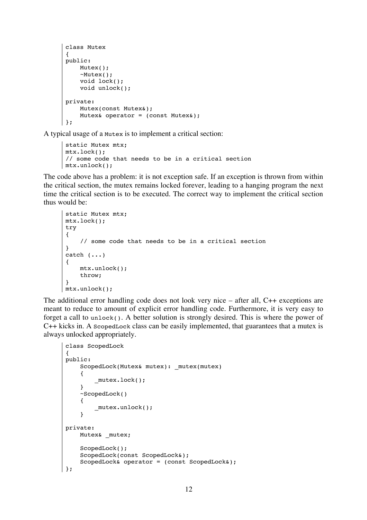```
class Mutex
{
public:
     Mutex();
     ~Mutex();
     void lock();
     void unlock();
private:
     Mutex(const Mutex&);
    Mutex& operator = (const Mutex&);
};
```
A typical usage of a Mutex is to implement a critical section:

```
static Mutex mtx;
mtx.lock();
// some code that needs to be in a critical section
mtx.unlock();
```
The code above has a problem: it is not exception safe. If an exception is thrown from within the critical section, the mutex remains locked forever, leading to a hanging program the next time the critical section is to be executed. The correct way to implement the critical section thus would be:

```
static Mutex mtx;
mtx.lock();
try
{
      // some code that needs to be in a critical section
}
catch (\ldots){
     mtx.unlock();
     throw;
}
mtx.unlock();
```
The additional error handling code does not look very nice – after all, C++ exceptions are meant to reduce to amount of explicit error handling code. Furthermore, it is very easy to forget a call to unlock(). A better solution is strongly desired. This is where the power of C++ kicks in. A ScopedLock class can be easily implemented, that guarantees that a mutex is always unlocked appropriately.

```
class ScopedLock
 {
public:
     ScopedLock(Mutex& mutex): mutex(mutex)
      {
           _mutex.lock();
      }
      ~ScopedLock()
      {
           _mutex.unlock();
      }
private:
     Mutex& mutex;
      ScopedLock();
      ScopedLock(const ScopedLock&);
      ScopedLock& operator = (const ScopedLock&);
\vert \cdot \rangle
```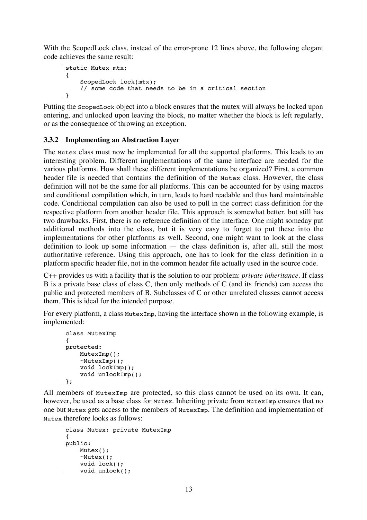With the ScopedLock class, instead of the error-prone 12 lines above, the following elegant code achieves the same result:

```
static Mutex mtx;
{
     ScopedLock lock(mtx);
     // some code that needs to be in a critical section
}
```
Putting the ScopedLock object into a block ensures that the mutex will always be locked upon entering, and unlocked upon leaving the block, no matter whether the block is left regularly, or as the consequence of throwing an exception.

#### **3.3.2 Implementing an Abstraction Layer**

The Mutex class must now be implemented for all the supported platforms. This leads to an interesting problem. Different implementations of the same interface are needed for the various platforms. How shall these different implementations be organized? First, a common header file is needed that contains the definition of the Mutex class. However, the class definition will not be the same for all platforms. This can be accounted for by using macros and conditional compilation which, in turn, leads to hard readable and thus hard maintainable code. Conditional compilation can also be used to pull in the correct class definition for the respective platform from another header file. This approach is somewhat better, but still has two drawbacks. First, there is no reference definition of the interface. One might someday put additional methods into the class, but it is very easy to forget to put these into the implementations for other platforms as well. Second, one might want to look at the class definition to look up some information — the class definition is, after all, still the most authoritative reference. Using this approach, one has to look for the class definition in a platform specific header file, not in the common header file actually used in the source code.

C++ provides us with a facility that is the solution to our problem: *private inheritance*. If class B is a private base class of class C, then only methods of C (and its friends) can access the public and protected members of B. Subclasses of C or other unrelated classes cannot access them. This is ideal for the intended purpose.

For every platform, a class MutexImp, having the interface shown in the following example, is implemented:

```
class MutexImp
{
protected:
    MutexImp();
     ~MutexImp();
     void lockImp();
     void unlockImp();
};
```
All members of MutexImp are protected, so this class cannot be used on its own. It can, however, be used as a base class for Mutex. Inheriting private from MutexImp ensures that no one but Mutex gets access to the members of MutexImp. The definition and implementation of Mutex therefore looks as follows:

```
class Mutex: private MutexImp
{
public:
     Mutex();
     ~Mutex();
     void lock();
     void unlock();
```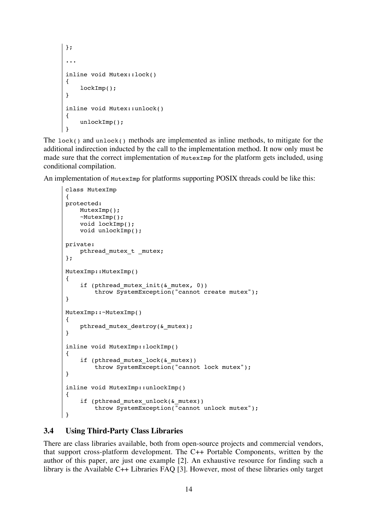```
};
...
inline void Mutex::lock()
{
     lockImp();
}
inline void Mutex::unlock()
{
     unlockImp();
}
```
The lock() and unlock() methods are implemented as inline methods, to mitigate for the additional indirection inducted by the call to the implementation method. It now only must be made sure that the correct implementation of MutexImp for the platform gets included, using conditional compilation.

An implementation of MutexImp for platforms supporting POSIX threads could be like this:

```
class MutexImp
{
protected:
     MutexImp();
     ~MutexImp();
     void lockImp();
     void unlockImp();
private:
    pthread mutex t mutex;
};
MutexImp::MutexImp()
{
    if (pthread mutex init(\& mutex, 0))
         throw SystemException("cannot create mutex");
}
MutexImp::~MutexImp()
{
    pthread mutex destroy(& mutex);
}
inline void MutexImp::lockImp()
{
    if (pthread mutex lock(& mutex))
         throw SystemException("cannot lock mutex");
}
inline void MutexImp::unlockImp()
{
    if (pthread mutex unlock(& mutex))
         throw SystemException("cannot unlock mutex");
}
```
#### **3.4 Using Third-Party Class Libraries**

There are class libraries available, both from open-source projects and commercial vendors, that support cross-platform development. The C++ Portable Components, written by the author of this paper, are just one example [2]. An exhaustive resource for finding such a library is the Available C++ Libraries FAQ [3]. However, most of these libraries only target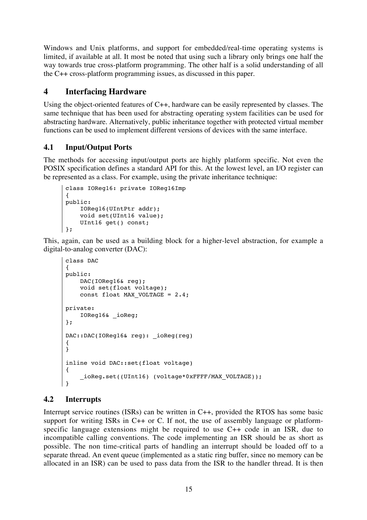Windows and Unix platforms, and support for embedded/real-time operating systems is limited, if available at all. It most be noted that using such a library only brings one half the way towards true cross-platform programming. The other half is a solid understanding of all the C++ cross-platform programming issues, as discussed in this paper.

## **4 Interfacing Hardware**

Using the object-oriented features of C++, hardware can be easily represented by classes. The same technique that has been used for abstracting operating system facilities can be used for abstracting hardware. Alternatively, public inheritance together with protected virtual member functions can be used to implement different versions of devices with the same interface.

## **4.1 Input/Output Ports**

The methods for accessing input/output ports are highly platform specific. Not even the POSIX specification defines a standard API for this. At the lowest level, an I/O register can be represented as a class. For example, using the private inheritance technique:

```
class IOReg16: private IOReg16Imp
{
public:
     IOReg16(UIntPtr addr);
     void set(UInt16 value);
     UInt16 get() const;
};
```
This, again, can be used as a building block for a higher-level abstraction, for example a digital-to-analog converter (DAC):

```
class DAC
{
public:
    DAC(IOReg16& reg);
     void set(float voltage);
    const float MAX VOLTAGE = 2.4;
private:
     IOReg16& _ioReg;
};
DAC::DAC(IOReg16& reg): _ioReg(reg)
{
}
inline void DAC::set(float voltage)
{
     _ioReg.set((UInt16) (voltage*0xFFFF/MAX_VOLTAGE));
}
```
## **4.2 Interrupts**

Interrupt service routines (ISRs) can be written in C++, provided the RTOS has some basic support for writing ISRs in  $C++$  or C. If not, the use of assembly language or platformspecific language extensions might be required to use C++ code in an ISR, due to incompatible calling conventions. The code implementing an ISR should be as short as possible. The non time-critical parts of handling an interrupt should be loaded off to a separate thread. An event queue (implemented as a static ring buffer, since no memory can be allocated in an ISR) can be used to pass data from the ISR to the handler thread. It is then